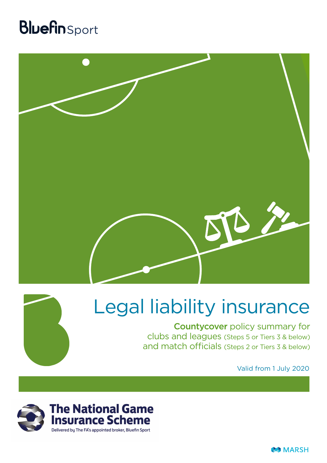## **Bluefin** Sport





## Legal liability insurance

Countycover policy summary for clubs and leagues (Steps 5 or Tiers 3 & below) and match officials (Steps 2 or Tiers 3 & below)

Valid from 1 July 2020

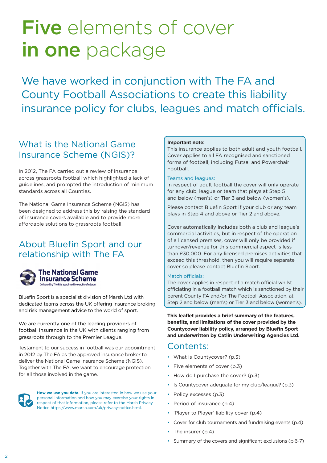## Five elements of cover in one package

We have worked in conjunction with The FA and County Football Associations to create this liability insurance policy for clubs, leagues and match officials.

### What is the National Game Insurance Scheme (NGIS)?

In 2012, The FA carried out a review of insurance across grassroots football which highlighted a lack of guidelines, and prompted the introduction of minimum standards across all Counties.

The National Game Insurance Scheme (NGIS) has been designed to address this by raising the standard of insurance covers available and to provide more affordable solutions to grassroots football.

### About Bluefin Sport and our relationship with The FA



### The National Game **Insurance Scheme** Delivered bu The FA's appointed broker. Bluefin Sport

Bluefin Sport is a specialist division of Marsh Ltd with dedicated teams across the UK offering insurance broking and risk management advice to the world of sport.

We are currently one of the leading providers of football insurance in the UK with clients ranging from grassroots through to the Premier League.

Testament to our success in football was our appointment in 2012 by The FA as the approved insurance broker to deliver the National Game Insurance Scheme (NGIS). Together with The FA, we want to encourage protection for all those involved in the game.



**How we use you data.** If you are interested in how we use your personal information and how you may exercise your rights in respect of that information, please refer to the Marsh Privacy Notice https://www.marsh.com/uk/privacy-notice.html.

### **Important note:**

This insurance applies to both adult and youth football. Cover applies to all FA recognised and sanctioned forms of football, including Futsal and Powerchair **Football** 

### Teams and leagues:

In respect of adult football the cover will only operate for any club, league or team that plays at Step 5 and below (men's) or Tier 3 and below (women's).

Please contact Bluefin Sport if your club or any team plays in Step 4 and above or Tier 2 and above.

Cover automatically includes both a club and league's commercial activities, but in respect of the operation of a licensed premises, cover will only be provided if turnover/revenue for this commercial aspect is less than £30,000. For any licensed premises activities that exceed this threshold, then you will require separate cover so please contact Bluefin Sport.

### Match officials:

The cover applies in respect of a match official whilst officiating in a football match which is sanctioned by their parent County FA and/or The Football Association, at Step 2 and below (men's) or Tier 3 and below (women's).

**This leaflet provides a brief summary of the features, benefits, and limitations of the cover provided by the Countycover liability policy, arranged by Bluefin Sport and underwritten by Catlin Underwriting Agencies Ltd.**

### Contents:

- What is Countycover? (p.3)
- Five elements of cover (p.3)
- How do I purchase the cover? (p.3)
- Is Countycover adequate for my club/league? (p.3)
- Policy excesses (p.3)
- Period of insurance (p.4)
- 'Player to Player' liability cover (p.4)
- Cover for club tournaments and fundraising events (p.4)
- The insurer (p.4)
- Summary of the covers and significant exclusions (p.6-7)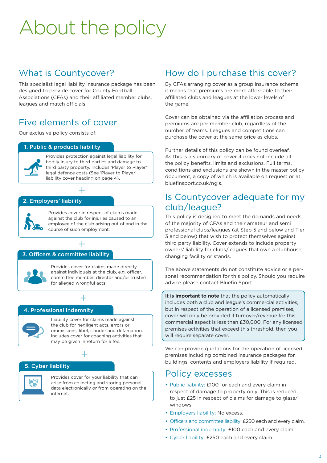# About the policy

### What is Countycover?

This specialist legal liability insurance package has been designed to provide cover for County Football Associations (CFAs) and their affiliated member clubs, leagues and match officials.

### Five elements of cover

Our exclusive policy consists of:

### 1. Public & products liability



Provides protection against legal liability for bodily injury to third parties and damage to third party property. Includes 'Player to Player' legal defence costs (See 'Player to Player' liability cover heading on page 4).

### 2. Employers' liability



Provides cover in respect of claims made against the club for injuries caused to an employee of the club arising out of and in the course of such employment.

### 3. Officers & committee liability



Provides cover for claims made directly against individuals at the club, e.g. officer, committee member, director and/or trustee for alleged wrongful acts.

### 4. Professional indemnity



Liability cover for claims made against the club for negligent acts, errors or ommissions, libel, slander and defamation. Includes cover for coaching activities that may be given in return for a fee.



 $+$ 

+

+

### 5. Cyber liability



Provides cover for your liability that can arise from collecting and storing personal data electronically or from operating on the internet.

### How do I purchase this cover?

By CFAs arranging cover as a group insurance scheme it means that premiums are more affordable to their affiliated clubs and leagues at the lower levels of the game.

Cover can be obtained via the affiliation process and premiums are per member club, regardless of the number of teams. Leagues and competitions can purchase the cover at the same price as clubs.

Further details of this policy can be found overleaf. As this is a summary of cover it does not include all the policy benefits, limits and exclusions. Full terms, conditions and exclusions are shown in the master policy document, a copy of which is available on request or at bluefinsport.co.uk/ngis.

### Is Countycover adequate for my club/league?

This policy is designed to meet the demands and needs of the majority of CFAs and their amateur and semi professional clubs/leagues (at Step 5 and below and Tier 3 and below) that wish to protect themselves against third party liability. Cover extends to include property owners' liability for clubs/leagues that own a clubhouse, changing facility or stands.

The above statements do not constitute advice or a personal recommendation for this policy. Should you require advice please contact Bluefin Sport.

I**t is important to note** that the policy automatically includes both a club and league's commercial activities, but in respect of the operation of a licensed premises, cover will only be provided if turnover/revenue for this commercial aspect is less than £30,000. For any licensed premises activities that exceed this threshold, then you will require separate cover.

We can provide quotations for the operation of licensed premises including combined insurance packages for buildings, contents and employers liability if required.

### Policy excesses

- Public liability: £100 for each and every claim in respect of damage to property only. This is reduced to just £25 in respect of claims for damage to glass/ windows.
- Employers liability: No excess.
- Officers and committee liability: £250 each and every claim.
- Professional indemnity: £100 each and every claim.
- Cyber liability: £250 each and every claim.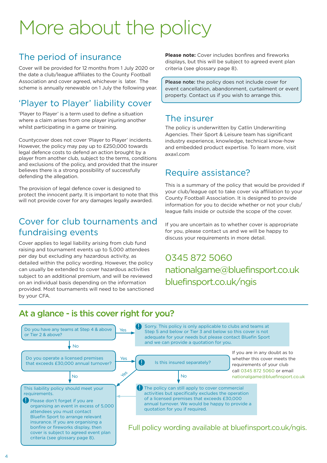## More about the policy

### The period of insurance

Cover will be provided for 12 months from 1 July 2020 or the date a club/league affiliates to the County Football Association and cover agreed, whichever is later. The scheme is annually renewable on 1 July the following year.

### 'Player to Player' liability cover

'Player to Player' is a term used to define a situation where a claim arises from one player injuring another whilst participating in a game or training.

Countycover does not cover 'Player to Player' incidents. However, the policy may pay up to £250,000 towards legal defence costs to defend an action brought by a player from another club, subject to the terms, conditions and exclusions of the policy, and provided that the insurer believes there is a strong possibility of successfully defending the allegation.

The provision of legal defence cover is designed to protect the innocent party. It is important to note that this will not provide cover for any damages legally awarded.

### Cover for club tournaments and fundraising events

Cover applies to legal liability arising from club fund raising and tournament events up to 5,000 attendees per day but excluding any hazardous activity, as detailed within the policy wording. However, the policy can usually be extended to cover hazardous activities subject to an additional premium, and will be reviewed on an individual basis depending on the information provided. Most tournaments will need to be sanctioned by your CFA.

**Please note:** Cover includes bonfires and fireworks displays, but this will be subject to agreed event plan criteria (see glossary page 8).

Please note: the policy does not include cover for event cancellation, abandonment, curtailment or event property. Contact us if you wish to arrange this.

### The insurer

The policy is underwritten by Catlin Underwriting Agencies. Their Sport & Leisure team has significant industry experience, knowledge, technical know-how and embedded product expertise. To learn more, visit axaxl.com

### Require assistance?

This is a summary of the policy that would be provided if your club/league opt to take cover via affiliation to your County Football Association. It is designed to provide information for you to decide whether or not your club/ league falls inside or outside the scope of the cover.

If you are uncertain as to whether cover is appropriate for you, please contact us and we will be happy to discuss your requirements in more detail.

0345 872 5060 nationalgame@bluefinsport.co.uk bluefinsport.co.uk/ngis

### At a glance - is this cover right for you?

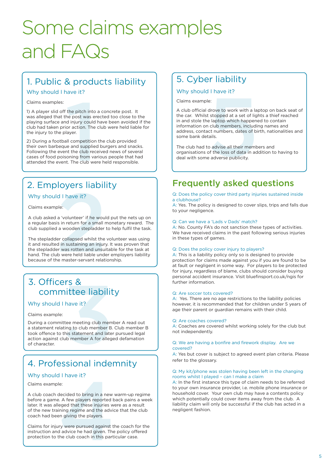## Some claims examples and FAQs

### 1. Public & products liability

### Why should I have it?

### Claims examples:

the pitch into<br>
the post was ere<br>
dinjury could lior action. The expertence of the post<br>
all competition<br>
the club rece<br>
the club were<br>
the club were<br>
the club were 1) A player slid off the pitch into a concrete post. It was alleged that the post was erected too close to the playing surface and injury could have been avoided if the club had taken prior action. The club were held liable for the injury to the player.

2) During a football competition the club provided their own barbeque and supplied burgers and snacks. Following the event the club received news of several cases of food poisoning from various people that had attended the event. The club were held responsible.

### 2. Employers liability

### Why should I have it?

### Claims example:

A club asked a 'volunteer' if he would put the nets up on a regular basis in return for a small monetary reward. The club supplied a wooden stepladder to help fulfil the task.

2 The stepladder collapsed whilst the volunteer was using it and resulted in sustaining an injury. It was proven that the stepladder was rotten and unsuitable for the task at hand. The club were held liable under employers liability because of the master-servant relationship.

### 3. Officers & committee liability

### Why should I have it?

#### Claims example:

Prs &<br>
nittee liabilit<br>
I have it?<br>
ttee meeting club mem<br>
ting to club member B.<br>
this statement and later<br>
lub member A for allege During a committee meeting club member A read out a statement relating to club member B. Club member B took offence to this statement and later pursued legal action against club member A for alleged defamation of character.

### 4. Professional indemnity

### Why should I have it?

Claims example:

e:<br>e:<br>decided to bring in a new<br>. A few players reported b<br>eged that these injuries w<br>ining regime and the advice<br>in giving the players.<br>ry were pursued against the data divide he had given. The<br>the club coach in this part A club coach decided to bring in a new warm-up regime before a game. A few players reported back pains a week later. It was alleged that these injuries were as a result of the new training regime and the advice that the club coach had been giving the players.

Claims for injury were pursued against the coach for the instruction and advice he had given. The policy offered protection to the club coach in this particular case.

### 5. Cyber liability

### Why should I have it?

Claims example:

First that the term of the state of the state of the state of the state of the state of the state of the state of the loss of the loss of data in address of the state of the loss of data in address of the loss of data in a A club official drove to work with a laptop on back seat of the car. Whilst stopped at a set of lights a thief reached in and stole the laptop which happened to contain information on club members, including names and address, contact numbers, dates of birth, nationalities and some bank details.

The club had to advise all their members and organisations of the loss of data in addition to having to deal with some adverse publicity.

### Frequently asked questions

#### Q: Does the policy cover third party injuries sustained inside a clubhouse?

A: Yes. The policy is designed to cover slips, trips and falls due to your negligence.

#### Q: Can we have a 'Lads v Dads' match?

A: No. County FA's do not sanction these types of activities. We have received claims in the past following serious injuries in these types of games.

### Q: Does the policy cover injury to players?

A: This is a liability policy only so is designed to provide protection for claims made against you if you are found to be at fault or negligent in some way. For players to be protected for injury, regardless of blame, clubs should consider buying personal accident insurance. Visit bluefinsport.co.uk/ngis for further information.

#### Q: Are soccer tots covered?

A: Yes. There are no age restrictions to the liability policies however, it is recommended that for children under 5 years of age their parent or guardian remains with their child.

#### Q: Are coaches covered?

A: Coaches are covered whilst working solely for the club but not independently.

#### Q: We are having a bonfire and firework display. Are we covered?

A: Yes but cover is subject to agreed event plan criteria. Please refer to the glossary.

#### Q: My kit/phone was stolen having been left in the changing rooms whilst I played – can I make a claim

A: In the first instance this type of claim needs to be referred to your own insurance provider, i.e. mobile phone insurance or household cover. Your own club may have a contents policy which potentially could cover items away from the club. A liability claim will only be successful if the club has acted in a negligent fashion.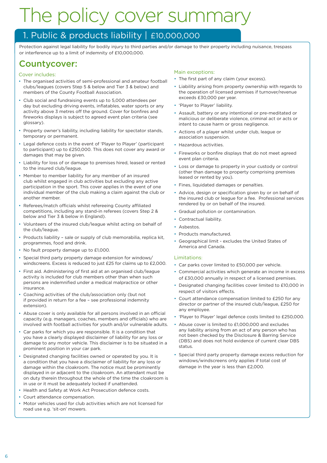## The policy cover summary

### 1. Public & products liability | £10,000,000

Protection against legal liability for bodily injury to third parties and/or damage to their property including nuisance, trespass or interference up to a limit of indemnity of £10,000,000.

### Countycover:

### Cover includes:

- The organised activities of semi-professional and amateur football clubs/leagues (covers Step 5 & below and Tier 3 & below) and members of the County Football Association.
- Club social and fundraising events up to 5,000 attendees per day but excluding driving events, inflatables, water sports or any activity above 3 metres off the ground. Cover for bonfires and fireworks displays is subject to agreed event plan criteria (see glossary).
- Property owner's liability, including liability for spectator stands, temporary or permanent.
- Legal defence costs in the event of 'Player to Player' (participant to participant) up to £250,000. This does not cover any award or damages that may be given.
- Liability for loss of or damage to premises hired, leased or rented to the insured club/league.
- Member to member liability for any member of an insured club whilst engaged in club activities but excluding any active participation in the sport. This cover applies in the event of one individual member of the club making a claim against the club or another member.
- Referees/match officials whilst refereeing County affiliated competitions, including any stand-in referees (covers Step 2 & below and Tier 3 & below in England).
- Volunteers of the insured club/league whilst acting on behalf of the club/league.
- Products liability sale or supply of club memorabilia, replica kit, programmes, food and drink.
- No fault property damage up to £1,000.
- Special third party property damage extension for windows/ windscreens. Excess is reduced to just £25 for claims up to £2,000.
- First aid. Administering of first aid at an organised club/league activity is included for club members other than when such persons are indemnified under a medical malpractice or other insurance.
- Coaching activities of the club/association only (but not if provided in return for a fee – see professional indemnity extension).
- Abuse cover is only available for all persons involved in an official capacity (e.g. managers, coaches, members and officials) who are involved with football activities for youth and/or vulnerable adults.
- Car parks for which you are responsible. It is a condition that you have a clearly displayed disclaimer of liability for any loss or damage to any motor vehicle. This disclaimer is to be situated in a prominent position in your car park.
- Designated changing facilities owned or operated by you. It is a condition that you have a disclaimer of liability for any loss or damage within the cloakroom. The notice must be prominently displayed in or adjacent to the cloakroom. An attendant must be on duty therein throughout the whole of the time the cloakroom is in use or it must be adequately locked if unattended.
- Health and Safety at Work Act Prosecution defence costs.
- Court attendance compensation.
- Motor vehicles used for club activities which are not licensed for road use e.g. 'sit-on' mowers.

### Main exceptions:

- The first part of any claim (your excess).
- Liability arising from property ownership with regards to the operation of licensed premises if turnover/revenue exceeds £30,000 per year.
- 'Player to Player' liability.
- Assault, battery or any intentional or pre-meditated or malicious or deliberate violence, criminal act or acts or intent to cause harm or gross negligence.
- Actions of a player whilst under club, league or association suspension.
- Hazardous activities.
- Fireworks or bonfire displays that do not meet agreed event plan criteria.
- Loss or damage to property in your custody or control (other than damage to property comprising premises leased or rented by you).
- Fines, liquidated damages or penalties.
- Advice, design or specification given by or on behalf of the insured club or league for a fee. Professional services rendered by or on behalf of the insured.
- Gradual pollution or contamination.
- Contractual liability.
- Asbestos.
- Products manufactured.
- Geographical limit excludes the United States of America and Canada.

### Limitations:

- Car parks cover limited to £50,000 per vehicle.
- Commercial activities which generate an income in excess of £30,000 annually in respect of a licensed premises.
- Designated changing facilities cover limited to £10,000 in respect of visitors effects.
- Court attendance compensation limited to £250 for any director or partner of the insured club/league, £250 for any employee.
- 'Player to Player' legal defence costs limited to £250,000.
- Abuse cover is limited to £1,000,000 and excludes any liability arising from an act of any person who has not been checked by the Disclosure & Barring Service (DBS) and does not hold evidence of current clear DBS status.
- Special third party property damage excess reduction for windows/windscreens only applies if total cost of damage in the year is less than £2,000.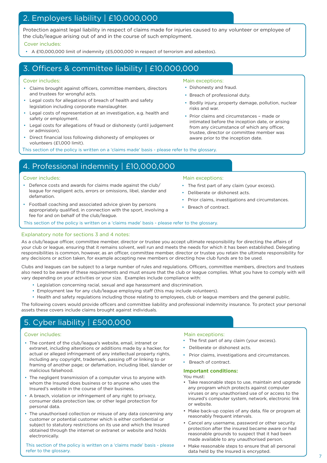### 2. Employers liability | £10,000,000

Protection against legal liability in respect of claims made for injuries caused to any volunteer or employee of the club/league arising out of and in the course of such employment.

### Cover includes:

• A £10,000,000 limit of indemnity (£5,000,000 in respect of terrorism and asbestos).

### 3. Officers & committee liability | £10,000,000

### Cover includes:

- Claims brought against officers, committee members, directors and trustees for wrongful acts.
- Legal costs for allegations of breach of health and safety legislation including corporate manslaughter.
- Legal costs of representation at an investigation, e.g. health and safety or employment.
- Legal costs for allegations of fraud or dishonesty (until judgement .or admission).
- Direct financial loss following dishonesty of employees or volunteers (£1,000 limit).

This section of the policy is written on a 'claims made' basis - please refer to the glossary.

### Main exceptions:

- Dishonesty and fraud.
- Breach of professional duty.
- Bodily injury, property damage, pollution, nuclear risks and war.
- Prior claims and circumstances made or intimated before the inception date, or arising from any circumstance of which any officer, trustee, director or committee member was aware prior to the inception date.

• The first part of any claim (your excess).

Prior claims, investigations and circumstances.

• Deliberate or dishonest acts.

Breach of contract.

### 4. Professional indemnity | £10,000,000

### Cover includes: Main exceptions: Main exceptions:

- Defence costs and awards for claims made against the club/ league for negligent acts, errors or omissions, libel, slander and defamation.
- Football coaching and associated advice given by persons appropriately qualified, in connection with the sport, involving a fee for and on behalf of the club/league.

This section of the policy is written on a 'claims made' basis - please refer to the glossary.

### Explanatory note for sections 3 and 4 notes:

As a club/league officer, committee member, director or trustee you accept ultimate responsibility for directing the affairs of your club or league, ensuring that it remains solvent, well run and meets the needs for which it has been established. Delegating responsibilities is common, however, as an officer, committee member, director or trustee you retain the ultimate responsibility for any decisions or action taken, for example accepting new members or directing how club funds are to be used.

Clubs and leagues can be subject to a large number of rules and regulations. Officers, committee members, directors and trustees also need to be aware of these requirements and must ensure that the club or league complies. What you have to comply with will vary depending on your activities or your size. Examples include compliance with:

- Legislation concerning racial, sexual and age harassment and discrimination.
- Employment law for any club/league employing staff (this may include volunteers).
- Health and safety regulations including those relating to employees, club or league members and the general public.

The following covers would provide officers and committee liability and professional indemnity insurance. To protect your personal assets these covers include claims brought against individuals.

### 5. Cyber liability | £500,000

- The content of the club/league's website, email, intranet or extranet, including alterations or additions made by a hacker, for actual or alleged infringement of any intellectual property rights, including any copyright, trademark, passing off or linking to or framing of another page; or defamation, including libel, slander or malicious falsehood.
- The negligent transmission of a computer virus to anyone with whom the Insured does business or to anyone who uses the Insured's website in the course of their business.
- A breach, violation or infringement of any right to privacy, consumer data protection law, or other legal protection for personal data.
- The unauthorised collection or misuse of any data concerning any customer or potential customer which is either confidential or subject to statutory restrictions on its use and which the Insured obtained through the internet or extranet or website and holds electronically.

This section of the policy is written on a 'claims made' basis - please refer to the glossary.

### Cover includes:  $\blacksquare$

- The first part of any claim (your excess).
- Deliberate or dishonest acts.
- Prior claims, investigations and circumstances.
- Breach of contract.

### **Important conditions:**

You must:

- Take reasonable steps to use, maintain and upgrade any program which protects against computer viruses or any unauthorised use of or access to the insured's computer system, network, electronic link or website.
- Make back-up copies of any data, file or program at reasonably frequent intervals.
- Cancel any username, password or other security protection after the insured became aware or had reasonable grounds to suspect that it had been made available to any unauthorised person.
- Make reasonable steps to ensure that all personal data held by the Insured is encrypted.